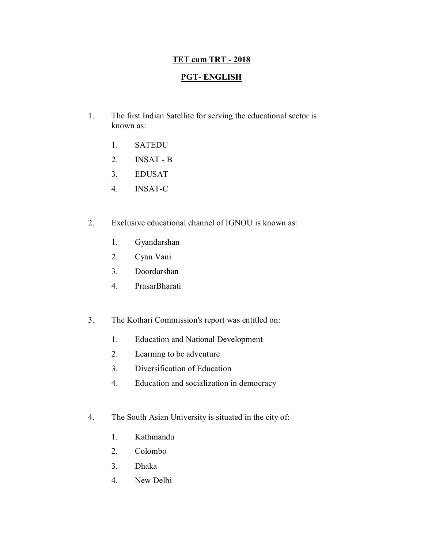## **TET cum TRT - 2018**

## **PGT- ENGLISH**

- 1. The first Indian Satellite for serving the educational sector is known as:
	- 1. SATEDU
	- 2. INSAT B
	- 3. EDUSAT
	- 4. INSAT-C
- 2. Exclusive educational channel of IGNOU is known as:
	- 1. Gyandarshan
	- 2. Cyan Vani
	- 3. Doordarshan
	- 4. PrasarBharati
- 3. The Kothari Commission's report was entitled on:
	- 1. Education and National Development
	- 2. Learning to be adventure
	- 3. Diversification of Education
	- 4. Education and socialization in democracy
- 4. The South Asian University is situated in the city of:
	- 1. Kathmandu
	- 2. Colombo
	- 3. Dhaka
	- 4. New Delhi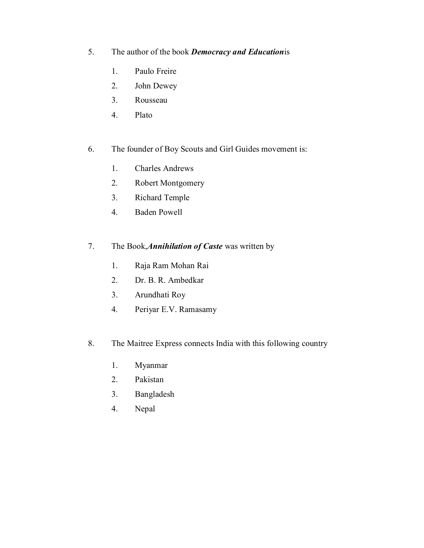- 5. The author of the book *Democracy and Education*is
	- 1. Paulo Freire
	- 2. John Dewey
	- 3. Rousseau
	- 4. Plato
- 6. The founder of Boy Scouts and Girl Guides movement is:
	- 1. Charles Andrews
	- 2. Robert Montgomery
	- 3. Richard Temple
	- 4. Baden Powell
- 7. The Book,*Annihilation of Caste* was written by
	- 1. Raja Ram Mohan Rai
	- 2. Dr. B. R. Ambedkar
	- 3. Arundhati Roy
	- 4. Periyar E.V. Ramasamy
- 8. The Maitree Express connects India with this following country
	- 1. Myanmar
	- 2. Pakistan
	- 3. Bangladesh
	- 4. Nepal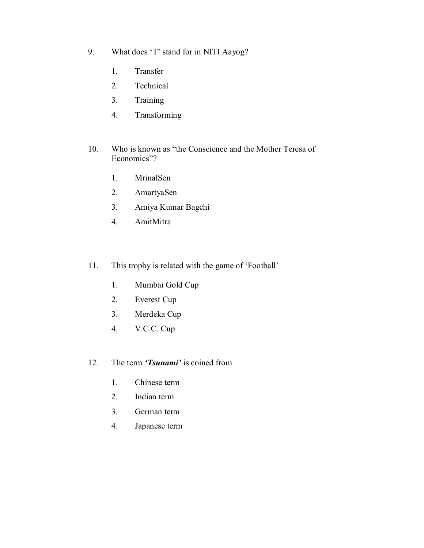- 9. What does 'T' stand for in NITI Aayog?
	- 1. Transfer
	- 2. Technical
	- 3. Training
	- 4. Transforming
- 10. Who is known as "the Conscience and the Mother Teresa of Economics"?
	- 1. MrinalSen
	- 2. AmartyaSen
	- 3. Amiya Kumar Bagchi
	- 4. AmitMitra
- 11. This trophy is related with the game of 'Football'
	- 1. Mumbai Gold Cup
	- 2. Everest Cup
	- 3. Merdeka Cup
	- 4. V.C.C. Cup
- 12. The term *'Tsunami'* is coined from
	- 1. Chinese term
	- 2. Indian term
	- 3. German term
	- 4. Japanese term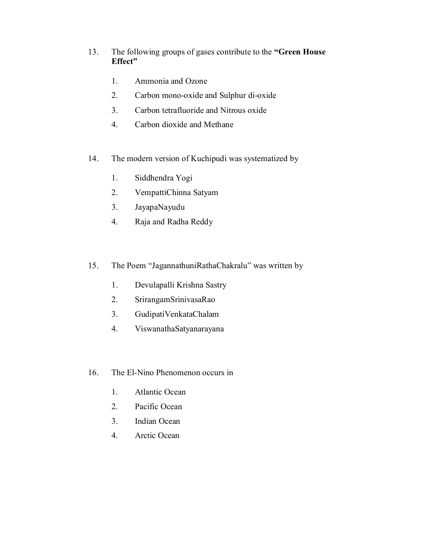- 13. The following groups of gases contribute to the **"Green House Effect"**
	- 1. Ammonia and Ozone
	- 2. Carbon mono-oxide and Sulphur di-oxide
	- 3. Carbon tetrafluoride and Nitrous oxide
	- 4. Carbon dioxide and Methane
- 14. The modern version of Kuchipudi was systematized by
	- 1. Siddhendra Yogi
	- 2. VempattiChinna Satyam
	- 3. JayapaNayudu
	- 4. Raja and Radha Reddy
- 15. The Poem "JagannathuniRathaChakralu" was written by
	- 1. Devulapalli Krishna Sastry
	- 2. SrirangamSrinivasaRao
	- 3. GudipatiVenkataChalam
	- 4. ViswanathaSatyanarayana
- 16. The El-Nino Phenomenon occurs in
	- 1. Atlantic Ocean
	- 2. Pacific Ocean
	- 3. Indian Ocean
	- 4. Arctic Ocean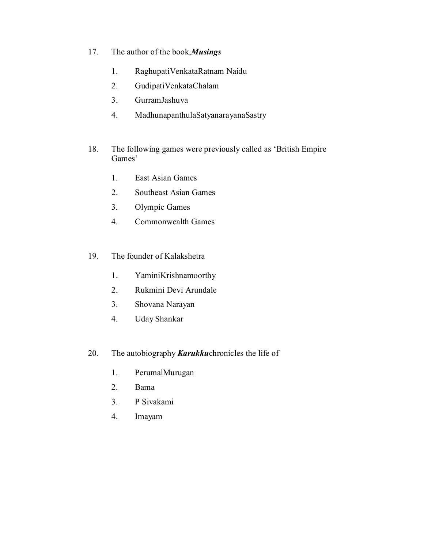- 17. The author of the book,*Musings*
	- 1. RaghupatiVenkataRatnam Naidu
	- 2. GudipatiVenkataChalam
	- 3. GurramJashuva
	- 4. MadhunapanthulaSatyanarayanaSastry
- 18. The following games were previously called as 'British Empire Games'
	- 1. East Asian Games
	- 2. Southeast Asian Games
	- 3. Olympic Games
	- 4. Commonwealth Games
- 19. The founder of Kalakshetra
	- 1. YaminiKrishnamoorthy
	- 2. Rukmini Devi Arundale
	- 3. Shovana Narayan
	- 4. Uday Shankar
- 20. The autobiography *Karukku*chronicles the life of
	- 1. PerumalMurugan
	- 2. Bama
	- 3. P Sivakami
	- 4. Imayam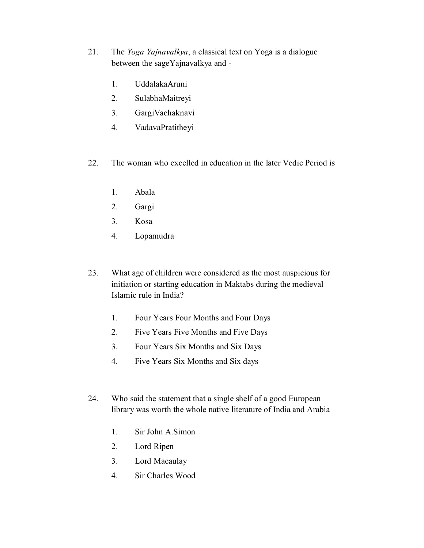- 21. The *Yoga Yajnavalkya*, a classical text on Yoga is a dialogue between the sageYajnavalkya and -
	- 1. UddalakaAruni
	- 2. SulabhaMaitreyi
	- 3. GargiVachaknavi
	- 4. VadavaPratitheyi
- 22. The woman who excelled in education in the later Vedic Period is
	- 1. Abala

 $\mathcal{L}$ 

- 2. Gargi
- 3. Kosa
- 4. Lopamudra
- 23. What age of children were considered as the most auspicious for initiation or starting education in Maktabs during the medieval Islamic rule in India?
	- 1. Four Years Four Months and Four Days
	- 2. Five Years Five Months and Five Days
	- 3. Four Years Six Months and Six Days
	- 4. Five Years Six Months and Six days
- 24. Who said the statement that a single shelf of a good European library was worth the whole native literature of India and Arabia
	- 1. Sir John A.Simon
	- 2. Lord Ripen
	- 3. Lord Macaulay
	- 4. Sir Charles Wood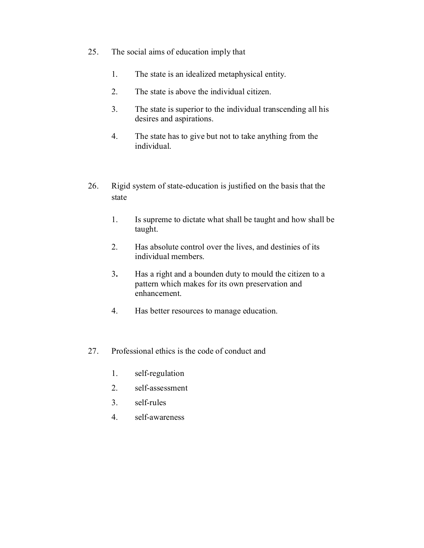- 25. The social aims of education imply that
	- 1. The state is an idealized metaphysical entity.
	- 2. The state is above the individual citizen.
	- 3. The state is superior to the individual transcending all his desires and aspirations.
	- 4. The state has to give but not to take anything from the individual.
- 26. Rigid system of state-education is justified on the basis that the state
	- 1. Is supreme to dictate what shall be taught and how shall be taught.
	- 2. Has absolute control over the lives, and destinies of its individual members.
	- 3**.** Has a right and a bounden duty to mould the citizen to a pattern which makes for its own preservation and enhancement.
	- 4. Has better resources to manage education.
- 27. Professional ethics is the code of conduct and
	- 1. self-regulation
	- 2. self-assessment
	- 3. self-rules
	- 4. self-awareness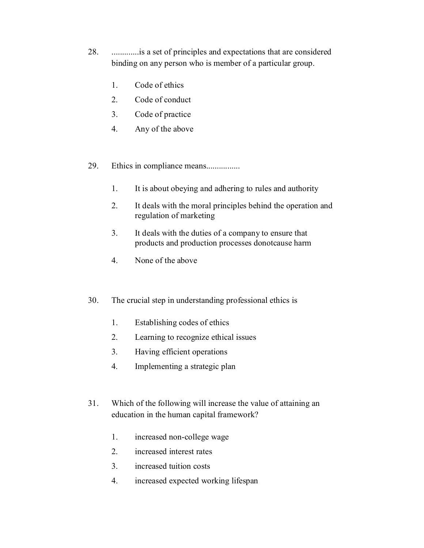- 28. .............is a set of principles and expectations that are considered binding on any person who is member of a particular group.
	- 1. Code of ethics
	- 2. Code of conduct
	- 3. Code of practice
	- 4. Any of the above
- 29. Ethics in compliance means................
	- 1. It is about obeying and adhering to rules and authority
	- 2. It deals with the moral principles behind the operation and regulation of marketing
	- 3. It deals with the duties of a company to ensure that products and production processes donotcause harm
	- 4. None of the above
- 30. The crucial step in understanding professional ethics is
	- 1. Establishing codes of ethics
	- 2. Learning to recognize ethical issues
	- 3. Having efficient operations
	- 4. Implementing a strategic plan
- 31. Which of the following will increase the value of attaining an education in the human capital framework?
	- 1. increased non-college wage
	- 2. increased interest rates
	- 3. increased tuition costs
	- 4. increased expected working lifespan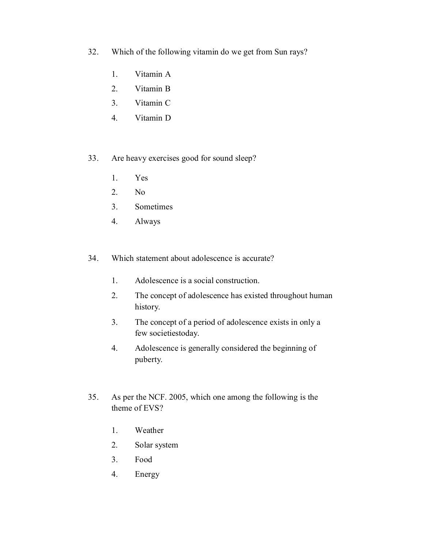- 32. Which of the following vitamin do we get from Sun rays?
	- 1. Vitamin A
	- 2. Vitamin B
	- 3. Vitamin C
	- 4. Vitamin D
- 33. Are heavy exercises good for sound sleep?
	- 1. Yes
	- 2. No
	- 3. Sometimes
	- 4. Always
- 34. Which statement about adolescence is accurate?
	- 1. Adolescence is a social construction.
	- 2. The concept of adolescence has existed throughout human history.
	- 3. The concept of a period of adolescence exists in only a few societiestoday.
	- 4. Adolescence is generally considered the beginning of puberty.
- 35. As per the NCF. 2005, which one among the following is the theme of EVS?
	- 1. Weather
	- 2. Solar system
	- 3. Food
	- 4. Energy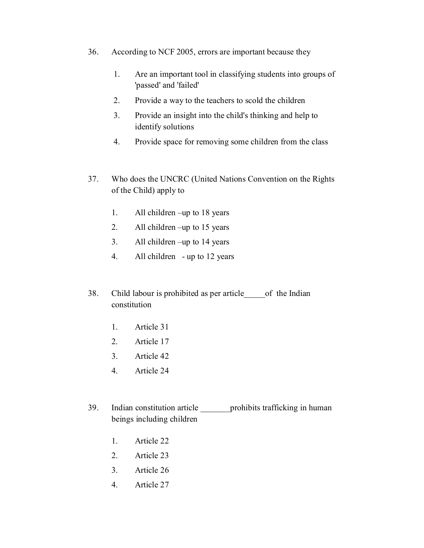- 36. According to NCF 2005, errors are important because they
	- 1. Are an important tool in classifying students into groups of 'passed' and 'failed'
	- 2. Provide a way to the teachers to scold the children
	- 3. Provide an insight into the child's thinking and help to identify solutions
	- 4. Provide space for removing some children from the class
- 37. Who does the UNCRC (United Nations Convention on the Rights of the Child) apply to
	- 1. All children –up to 18 years
	- 2. All children –up to 15 years
	- 3. All children –up to 14 years
	- 4. All children up to 12 years
- 38. Child labour is prohibited as per article\_\_\_\_\_of the Indian constitution
	- 1. Article 31
	- 2. Article 17
	- 3. Article 42
	- 4. Article 24
- 39. Indian constitution article prohibits trafficking in human beings including children
	- 1. Article 22
	- 2. Article 23
	- 3. Article 26
	- 4. Article 27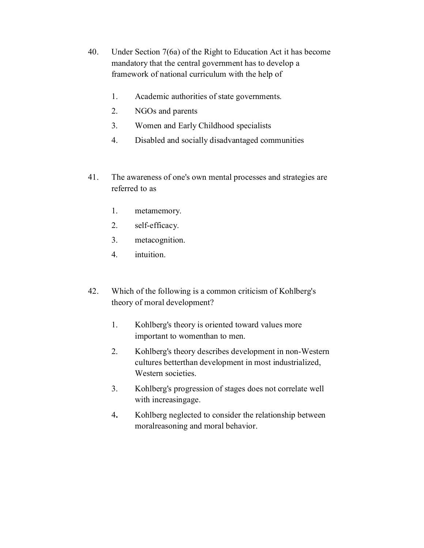- 40. Under Section 7(6a) of the Right to Education Act it has become mandatory that the central government has to develop a framework of national curriculum with the help of
	- 1. Academic authorities of state governments.
	- 2. NGOs and parents
	- 3. Women and Early Childhood specialists
	- 4. Disabled and socially disadvantaged communities
- 41. The awareness of one's own mental processes and strategies are referred to as
	- 1. metamemory.
	- 2. self-efficacy.
	- 3. metacognition.
	- 4. intuition.
- 42. Which of the following is a common criticism of Kohlberg's theory of moral development?
	- 1. Kohlberg's theory is oriented toward values more important to womenthan to men.
	- 2. Kohlberg's theory describes development in non-Western cultures betterthan development in most industrialized, Western societies.
	- 3. Kohlberg's progression of stages does not correlate well with increasingage.
	- 4**.** Kohlberg neglected to consider the relationship between moralreasoning and moral behavior.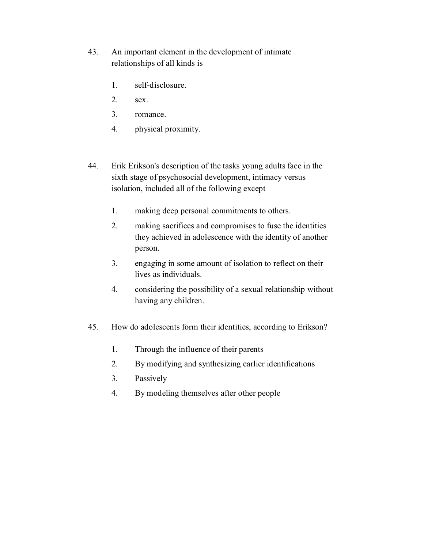- 43. An important element in the development of intimate relationships of all kinds is
	- 1. self-disclosure.
	- 2. sex.
	- 3. romance.
	- 4. physical proximity.
- 44. Erik Erikson's description of the tasks young adults face in the sixth stage of psychosocial development, intimacy versus isolation, included all of the following except
	- 1. making deep personal commitments to others.
	- 2. making sacrifices and compromises to fuse the identities they achieved in adolescence with the identity of another person.
	- 3. engaging in some amount of isolation to reflect on their lives as individuals.
	- 4. considering the possibility of a sexual relationship without having any children.
- 45. How do adolescents form their identities, according to Erikson?
	- 1. Through the influence of their parents
	- 2. By modifying and synthesizing earlier identifications
	- 3. Passively
	- 4. By modeling themselves after other people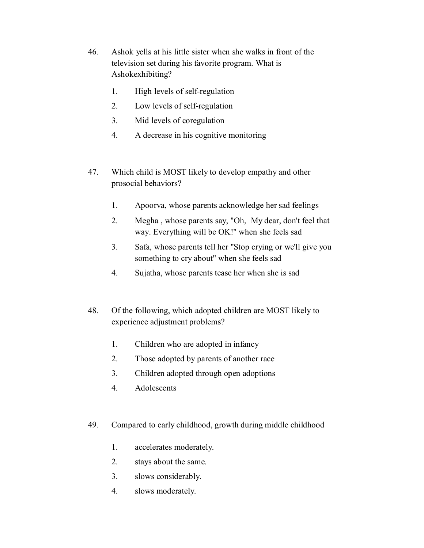- 46. Ashok yells at his little sister when she walks in front of the television set during his favorite program. What is Ashokexhibiting?
	- 1. High levels of self-regulation
	- 2. Low levels of self-regulation
	- 3. Mid levels of coregulation
	- 4. A decrease in his cognitive monitoring
- 47. Which child is MOST likely to develop empathy and other prosocial behaviors?
	- 1. Apoorva, whose parents acknowledge her sad feelings
	- 2. Megha , whose parents say, "Oh, My dear, don't feel that way. Everything will be OK!" when she feels sad
	- 3. Safa, whose parents tell her "Stop crying or we'll give you something to cry about" when she feels sad
	- 4. Sujatha, whose parents tease her when she is sad
- 48. Of the following, which adopted children are MOST likely to experience adjustment problems?
	- 1. Children who are adopted in infancy
	- 2. Those adopted by parents of another race
	- 3. Children adopted through open adoptions
	- 4. Adolescents
- 49. Compared to early childhood, growth during middle childhood
	- 1. accelerates moderately.
	- 2. stays about the same.
	- 3. slows considerably.
	- 4. slows moderately.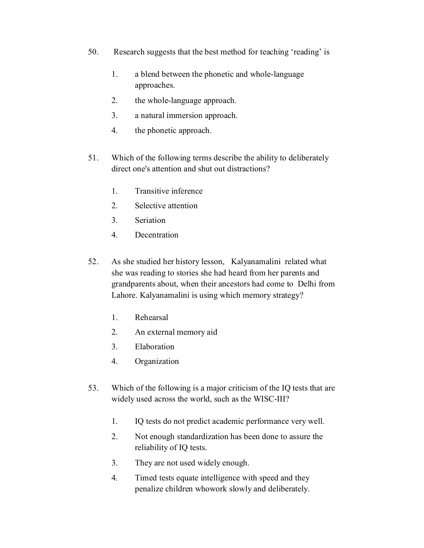- 50. Research suggests that the best method for teaching 'reading' is
	- 1. a blend between the phonetic and whole-language approaches.
	- 2. the whole-language approach.
	- 3. a natural immersion approach.
	- 4. the phonetic approach.
- 51. Which of the following terms describe the ability to deliberately direct one's attention and shut out distractions?
	- 1. Transitive inference
	- 2. Selective attention
	- 3. Seriation
	- 4. Decentration
- 52. As she studied her history lesson, Kalyanamalini related what she was reading to stories she had heard from her parents and grandparents about, when their ancestors had come to Delhi from Lahore. Kalyanamalini is using which memory strategy?
	- 1. Rehearsal
	- 2. An external memory aid
	- 3. Elaboration
	- 4. Organization
- 53. Which of the following is a major criticism of the IQ tests that are widely used across the world, such as the WISC-III?
	- 1. IQ tests do not predict academic performance very well.
	- 2. Not enough standardization has been done to assure the reliability of IQ tests.
	- 3. They are not used widely enough.
	- 4. Timed tests equate intelligence with speed and they penalize children whowork slowly and deliberately.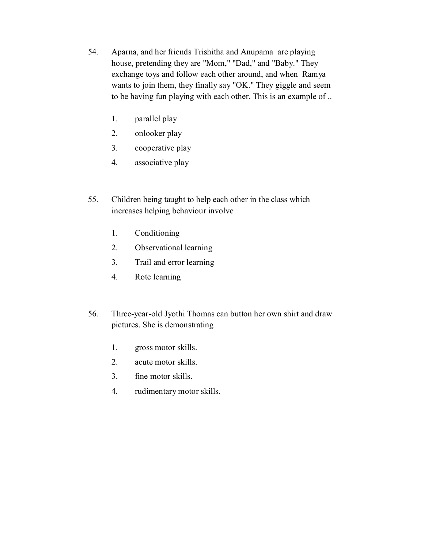- 54. Aparna, and her friends Trishitha and Anupama are playing house, pretending they are "Mom," "Dad," and "Baby." They exchange toys and follow each other around, and when Ramya wants to join them, they finally say "OK." They giggle and seem to be having fun playing with each other. This is an example of ..
	- 1. parallel play
	- 2. onlooker play
	- 3. cooperative play
	- 4. associative play
- 55. Children being taught to help each other in the class which increases helping behaviour involve
	- 1. Conditioning
	- 2. Observational learning
	- 3. Trail and error learning
	- 4. Rote learning
- 56. Three-year-old Jyothi Thomas can button her own shirt and draw pictures. She is demonstrating
	- 1. gross motor skills.
	- 2. acute motor skills.
	- 3. fine motor skills.
	- 4. rudimentary motor skills.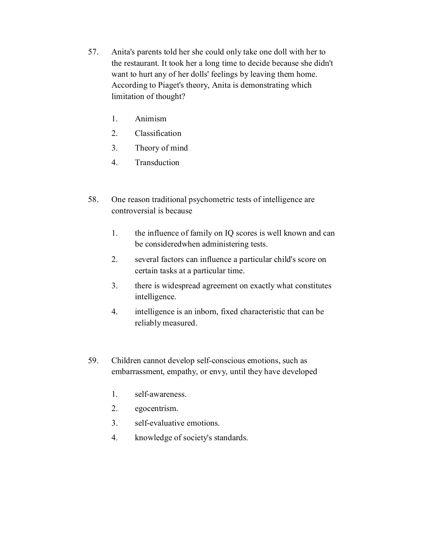- 57. Anita's parents told her she could only take one doll with her to the restaurant. It took her a long time to decide because she didn't want to hurt any of her dolls' feelings by leaving them home. According to Piaget's theory, Anita is demonstrating which limitation of thought?
	- 1. Animism
	- 2. Classification
	- 3. Theory of mind
	- 4. Transduction
- 58. One reason traditional psychometric tests of intelligence are controversial is because
	- 1. the influence of family on IQ scores is well known and can be consideredwhen administering tests.
	- 2. several factors can influence a particular child's score on certain tasks at a particular time.
	- 3. there is widespread agreement on exactly what constitutes intelligence.
	- 4. intelligence is an inborn, fixed characteristic that can be reliably measured.
- 59. Children cannot develop self-conscious emotions, such as embarrassment, empathy, or envy, until they have developed
	- 1. self-awareness.
	- 2. egocentrism.
	- 3. self-evaluative emotions.
	- 4. knowledge of society's standards.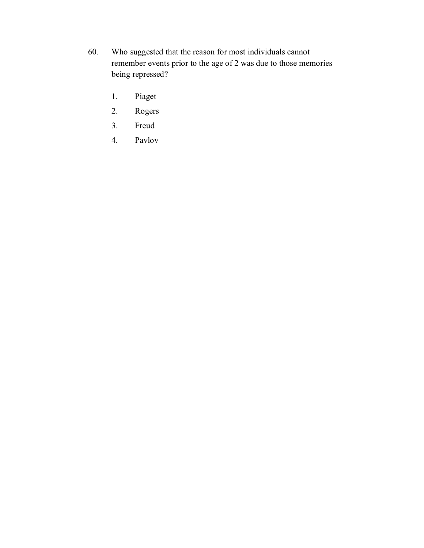- 60. Who suggested that the reason for most individuals cannot remember events prior to the age of 2 was due to those memories being repressed?
	- 1. Piaget
	- 2. Rogers
	- 3. Freud
	- 4. Pavlov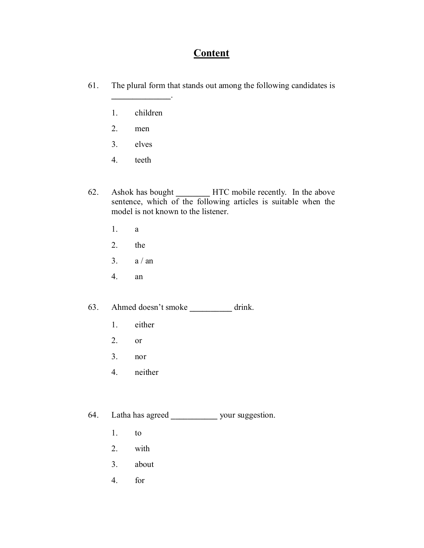# **Content**

- 61. The plural form that stands out among the following candidates is
	- 1. children

**\_\_\_\_\_\_\_\_\_\_\_\_\_\_**.

- 2. men
- 3. elves
- 4. teeth
- 62. Ashok has bought **\_\_\_\_\_\_\_\_** HTC mobile recently. In the above sentence, which of the following articles is suitable when the model is not known to the listener.
	- 1. a
	- 2. the
	- 3.  $a / an$
	- 4. an
- 63. Ahmed doesn't smoke **\_\_\_\_\_\_\_\_\_\_** drink.
	- 1. either
	- 2. or
	- 3. nor
	- 4. neither
- 64. Latha has agreed **\_\_\_\_\_\_\_\_\_\_\_** your suggestion.
	- 1. to
	- 2. with
	- 3. about
	- 4. for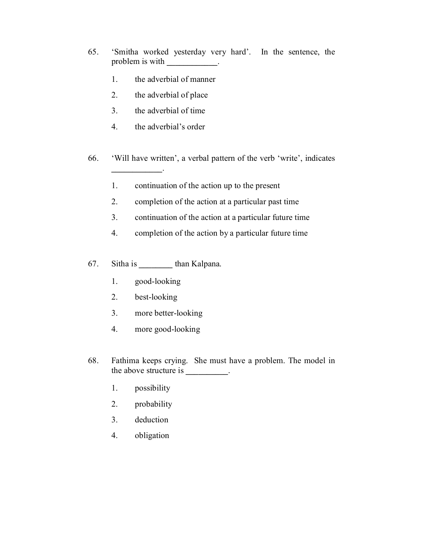- 65. 'Smitha worked yesterday very hard'. In the sentence, the problem is with **with**  $\cdot$ 
	- 1. the adverbial of manner
	- 2. the adverbial of place
	- 3. the adverbial of time
	- 4. the adverbial's order

**\_\_\_\_\_\_\_\_\_\_\_\_**.

- 66. 'Will have written', a verbal pattern of the verb 'write', indicates
	- 1. continuation of the action up to the present
	- 2. completion of the action at a particular past time
	- 3. continuation of the action at a particular future time
	- 4. completion of the action by a particular future time
- 67. Sitha is **\_\_\_\_\_\_\_\_** than Kalpana.
	- 1. good-looking
	- 2. best-looking
	- 3. more better-looking
	- 4. more good-looking
- 68. Fathima keeps crying. She must have a problem. The model in the above structure is **\_\_\_\_\_\_\_\_\_\_**.
	- 1. possibility
	- 2. probability
	- 3. deduction
	- 4. obligation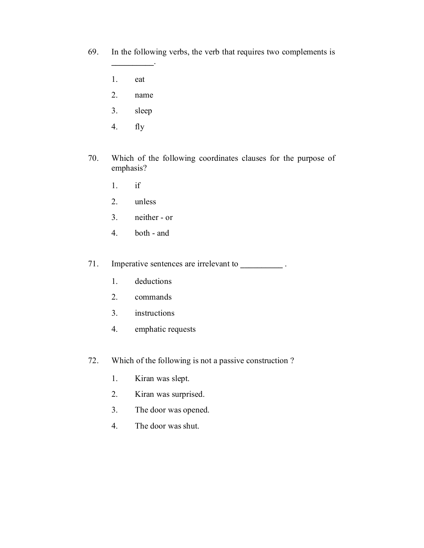- 69. In the following verbs, the verb that requires two complements is
	- 1. eat
	- 2. name

**\_\_\_\_\_\_\_\_\_\_**.

- 3. sleep
- 4. fly
- 70. Which of the following coordinates clauses for the purpose of emphasis?
	- 1. if
	- 2. unless
	- 3. neither or
	- 4. both and

71. Imperative sentences are irrelevant to **\_\_\_\_\_\_\_\_\_\_** .

- 1. deductions
- 2. commands
- 3. instructions
- 4. emphatic requests
- 72. Which of the following is not a passive construction ?
	- 1. Kiran was slept.
	- 2. Kiran was surprised.
	- 3. The door was opened.
	- 4. The door was shut.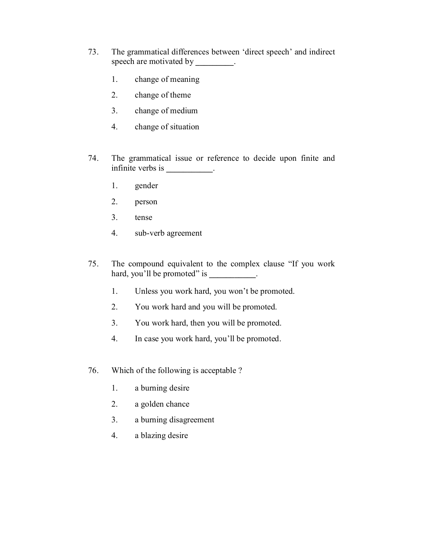- 73. The grammatical differences between 'direct speech' and indirect speech are motivated by **\_\_\_\_\_\_\_\_\_**.
	- 1. change of meaning
	- 2. change of theme
	- 3. change of medium
	- 4. change of situation
- 74. The grammatical issue or reference to decide upon finite and infinite verbs is **\_\_\_\_\_\_\_\_\_\_\_**.
	- 1. gender
	- 2. person
	- 3. tense
	- 4. sub-verb agreement
- 75. The compound equivalent to the complex clause "If you work hard, you'll be promoted" is \_\_\_\_\_\_\_\_\_\_.
	- 1. Unless you work hard, you won't be promoted.
	- 2. You work hard and you will be promoted.
	- 3. You work hard, then you will be promoted.
	- 4. In case you work hard, you'll be promoted.
- 76. Which of the following is acceptable ?
	- 1. a burning desire
	- 2. a golden chance
	- 3. a burning disagreement
	- 4. a blazing desire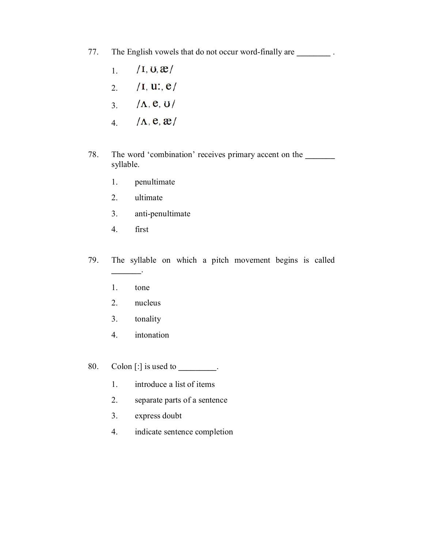- 77. The English vowels that do not occur word-finally are **\_\_\_\_\_\_\_\_** .
	- $\sqrt{I}$ , U,  $\mathbf{\mathfrak{E}}$ 1.
	- $/I, U: e/$ 2.
	- $/\Lambda$ , e, U 3.
	- $/\Lambda$ , e,  $\mathbf{x}/$ 4.
- 78. The word 'combination' receives primary accent on the **\_\_\_\_\_\_\_** syllable.
	- 1. penultimate
	- 2. ultimate
	- 3. anti-penultimate
	- 4. first
- 79. The syllable on which a pitch movement begins is called
	- 1. tone

**\_\_\_\_\_\_\_**.

- 2. nucleus
- 3. tonality
- 4. intonation

80. Colon [:] is used to **\_\_\_\_\_\_\_\_\_**.

- 1. introduce a list of items
- 2. separate parts of a sentence
- 3. express doubt
- 4. indicate sentence completion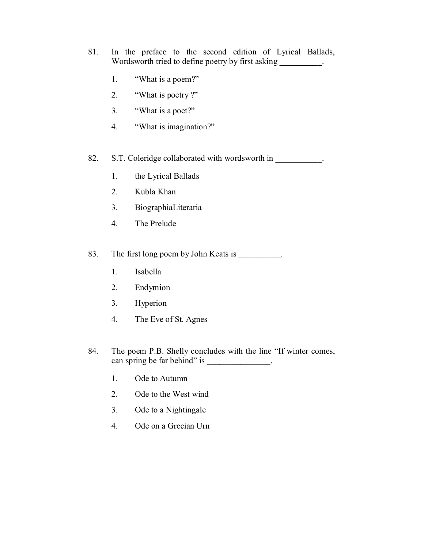- 81. In the preface to the second edition of Lyrical Ballads, Wordsworth tried to define poetry by first asking **\_\_\_\_\_\_\_\_\_\_**.
	- 1. "What is a poem?"
	- 2. "What is poetry ?"
	- 3. "What is a poet?"
	- 4. "What is imagination?"
- 82. S.T. Coleridge collaborated with wordsworth in
	- 1. the Lyrical Ballads
	- 2. Kubla Khan
	- 3. BiographiaLiteraria
	- 4. The Prelude

83. The first long poem by John Keats is **\_\_\_\_\_\_\_\_\_\_**.

- 1. Isabella
- 2. Endymion
- 3. Hyperion
- 4. The Eve of St. Agnes
- 84. The poem P.B. Shelly concludes with the line "If winter comes, can spring be far behind" is **\_\_\_\_\_\_\_\_\_\_\_\_\_\_\_**.
	- 1. Ode to Autumn
	- 2. Ode to the West wind
	- 3. Ode to a Nightingale
	- 4. Ode on a Grecian Urn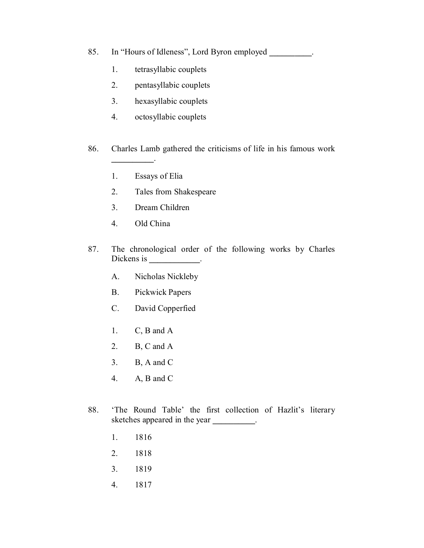- 85. In "Hours of Idleness", Lord Byron employed **\_\_\_\_\_\_\_\_\_\_**.
	- 1. tetrasyllabic couplets
	- 2. pentasyllabic couplets
	- 3. hexasyllabic couplets
	- 4. octosyllabic couplets
- 86. Charles Lamb gathered the criticisms of life in his famous work
	- 1. Essays of Elia

**\_\_\_\_\_\_\_\_\_\_**.

- 2. Tales from Shakespeare
- 3. Dream Children
- 4. Old China
- 87. The chronological order of the following works by Charles Dickens is \_\_\_\_\_\_\_\_\_\_\_\_.
	- A. Nicholas Nickleby
	- B. Pickwick Papers
	- C. David Copperfied
	- 1. C, B and A
	- 2. B, C and A
	- 3. B, A and C
	- 4. A, B and C
- 88. 'The Round Table' the first collection of Hazlit's literary sketches appeared in the year **\_\_\_\_\_\_\_\_\_\_**.
	- 1. 1816
	- 2. 1818
	- 3. 1819
	- 4. 1817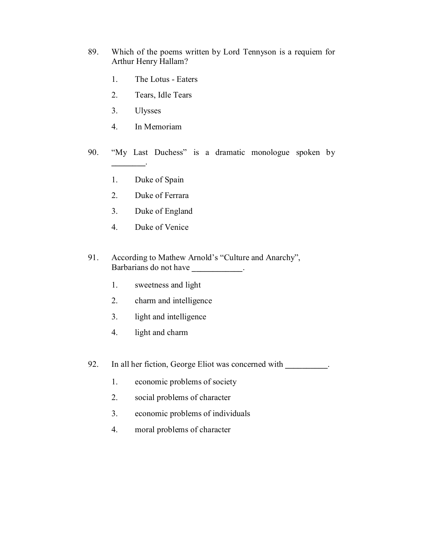- 89. Which of the poems written by Lord Tennyson is a requiem for Arthur Henry Hallam?
	- 1. The Lotus Eaters
	- 2. Tears, Idle Tears
	- 3. Ulysses

**\_\_\_\_\_\_\_\_**.

- 4. In Memoriam
- 90. "My Last Duchess" is a dramatic monologue spoken by
	- 1. Duke of Spain
	- 2. Duke of Ferrara
	- 3. Duke of England
	- 4. Duke of Venice
- 91. According to Mathew Arnold's "Culture and Anarchy", Barbarians do not have **\_\_\_\_\_\_\_\_\_\_\_\_**.
	- 1. sweetness and light
	- 2. charm and intelligence
	- 3. light and intelligence
	- 4. light and charm
- 92. In all her fiction, George Eliot was concerned with **\_\_\_\_\_\_\_\_\_\_**.
	- 1. economic problems of society
	- 2. social problems of character
	- 3. economic problems of individuals
	- 4. moral problems of character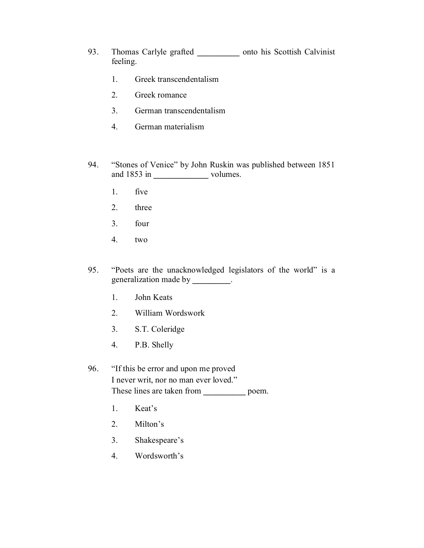- 93. Thomas Carlyle grafted **\_\_\_\_\_\_\_\_\_\_** onto his Scottish Calvinist feeling.
	- 1. Greek transcendentalism
	- 2. Greek romance
	- 3. German transcendentalism
	- 4. German materialism
- 94. "Stones of Venice" by John Ruskin was published between 1851 and 1853 in **\_\_\_\_\_\_\_\_\_\_\_\_\_** volumes.
	- 1. five
	- 2. three
	- 3. four
	- 4. two
- 95. "Poets are the unacknowledged legislators of the world" is a generalization made by **\_\_\_\_\_\_\_\_\_**.
	- 1. John Keats
	- 2. William Wordswork
	- 3. S.T. Coleridge
	- 4. P.B. Shelly
- 96. "If this be error and upon me proved I never writ, nor no man ever loved." These lines are taken from **\_\_\_\_\_\_\_\_\_\_** poem.
	- 1. Keat's
	- 2. Milton's
	- 3. Shakespeare's
	- 4. Wordsworth's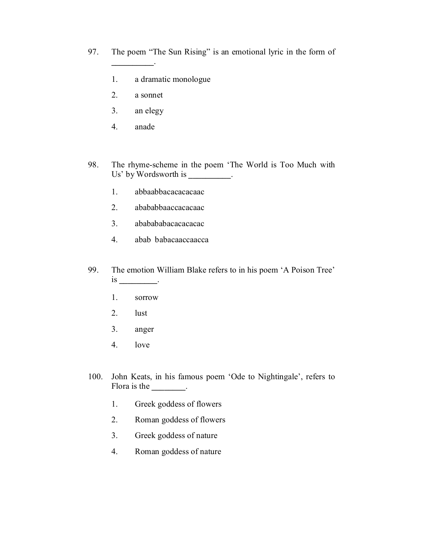- 97. The poem "The Sun Rising" is an emotional lyric in the form of
	- 1. a dramatic monologue
	- 2. a sonnet

**\_\_\_\_\_\_\_\_\_\_**.

- 3. an elegy
- 4. anade
- 98. The rhyme-scheme in the poem 'The World is Too Much with Us' by Wordsworth is **\_\_\_\_\_\_\_\_\_\_**.
	- 1. abbaabbacacacacaac
	- 2. abababbaaccacacaac
	- 3. ababababacacacacac
	- 4. abab babacaaccaacca
- 99. The emotion William Blake refers to in his poem 'A Poison Tree' is **\_\_\_\_\_\_\_\_\_**.
	- 1. sorrow
	- 2. lust
	- 3. anger
	- 4. love
- 100. John Keats, in his famous poem 'Ode to Nightingale', refers to Flora is the \_\_\_\_\_\_\_\_.
	- 1. Greek goddess of flowers
	- 2. Roman goddess of flowers
	- 3. Greek goddess of nature
	- 4. Roman goddess of nature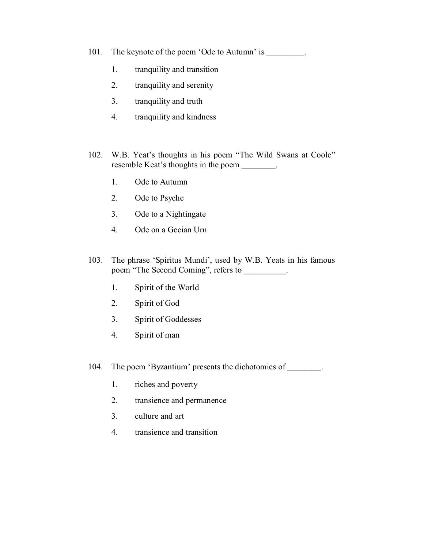- 101. The keynote of the poem 'Ode to Autumn' is **\_\_\_\_\_\_\_\_\_**.
	- 1. tranquility and transition
	- 2. tranquility and serenity
	- 3. tranquility and truth
	- 4. tranquility and kindness
- 102. W.B. Yeat's thoughts in his poem "The Wild Swans at Coole" resemble Keat's thoughts in the poem **\_\_\_\_\_\_\_\_**.
	- 1. Ode to Autumn
	- 2. Ode to Psyche
	- 3. Ode to a Nightingate
	- 4. Ode on a Gecian Urn
- 103. The phrase 'Spiritus Mundi', used by W.B. Yeats in his famous poem "The Second Coming", refers to **\_\_\_\_\_\_\_\_\_\_**.
	- 1. Spirit of the World
	- 2. Spirit of God
	- 3. Spirit of Goddesses
	- 4. Spirit of man

104. The poem 'Byzantium' presents the dichotomies of **\_\_\_\_\_\_\_\_**.

- 1. riches and poverty
- 2. transience and permanence
- 3. culture and art
- 4. transience and transition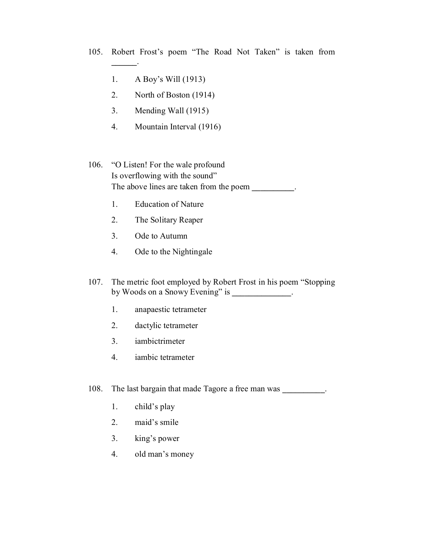- 105. Robert Frost's poem "The Road Not Taken" is taken from
	- 1. A Boy's Will (1913)

**\_\_\_\_\_\_**.

- 2. North of Boston (1914)
- 3. Mending Wall (1915)
- 4. Mountain Interval (1916)
- 106. "O Listen! For the wale profound Is overflowing with the sound" The above lines are taken from the poem  $\blacksquare$ 
	- 1. Education of Nature
	- 2. The Solitary Reaper
	- 3. Ode to Autumn
	- 4. Ode to the Nightingale
- 107. The metric foot employed by Robert Frost in his poem "Stopping by Woods on a Snowy Evening" is **\_\_\_\_\_\_\_\_\_\_\_\_\_\_**.
	- 1. anapaestic tetrameter
	- 2. dactylic tetrameter
	- 3. iambictrimeter
	- 4. iambic tetrameter
- 108. The last bargain that made Tagore a free man was **\_\_\_\_\_\_\_\_\_\_**.
	- 1. child's play
	- 2. maid's smile
	- 3. king's power
	- 4. old man's money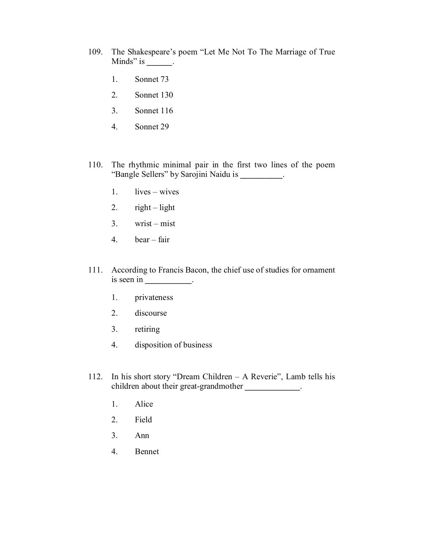- 109. The Shakespeare's poem "Let Me Not To The Marriage of True Minds" is **\_\_\_\_\_\_**.
	- 1. Sonnet 73
	- 2. Sonnet 130
	- 3. Sonnet 116
	- 4. Sonnet 29
- 110. The rhythmic minimal pair in the first two lines of the poem "Bangle Sellers" by Sarojini Naidu is **\_\_\_\_\_\_\_\_\_\_**.
	- 1. lives wives
	- 2.  $right light$
	- $3.$  wrist mist
	- 4. bear fair
- 111. According to Francis Bacon, the chief use of studies for ornament is seen in **\_\_\_\_\_\_\_\_\_\_\_**.
	- 1. privateness
	- 2. discourse
	- 3. retiring
	- 4. disposition of business
- 112. In his short story "Dream Children A Reverie", Lamb tells his children about their great-grandmother **\_\_\_\_\_\_\_\_\_\_\_\_\_**.
	- 1. Alice
	- 2. Field
	- 3. Ann
	- 4. Bennet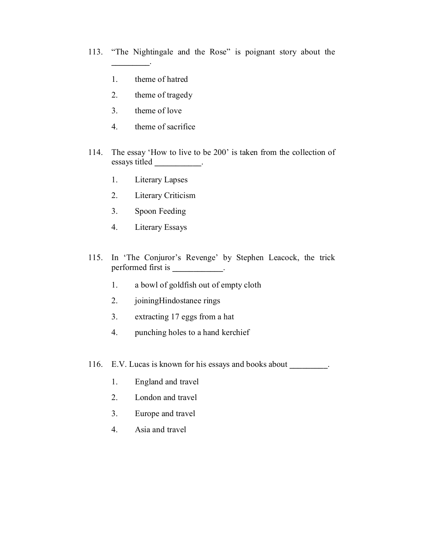113. "The Nightingale and the Rose" is poignant story about the

1. theme of hatred

**\_\_\_\_\_\_\_\_\_**.

- 2. theme of tragedy
- 3. theme of love
- 4. theme of sacrifice
- 114. The essay 'How to live to be 200' is taken from the collection of essays titled **\_\_\_\_\_\_\_\_\_\_\_**.
	- 1. Literary Lapses
	- 2. Literary Criticism
	- 3. Spoon Feeding
	- 4. Literary Essays
- 115. In 'The Conjuror's Revenge' by Stephen Leacock, the trick performed first is **\_\_\_\_\_\_\_\_\_\_\_\_**.
	- 1. a bowl of goldfish out of empty cloth
	- 2. joiningHindostanee rings
	- 3. extracting 17 eggs from a hat
	- 4. punching holes to a hand kerchief
- 116. E.V. Lucas is known for his essays and books about **\_\_\_\_\_\_\_\_\_**.
	- 1. England and travel
	- 2. London and travel
	- 3. Europe and travel
	- 4. Asia and travel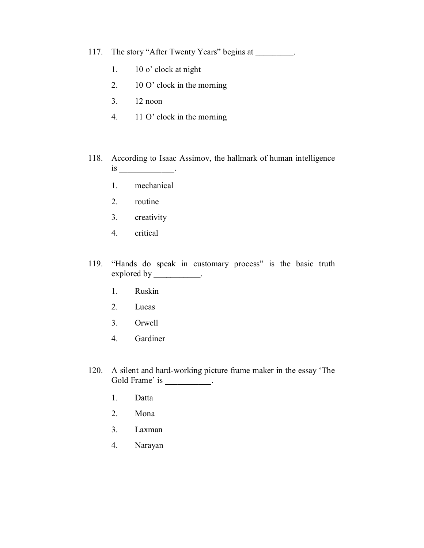117. The story "After Twenty Years" begins at **\_\_\_\_\_\_\_\_\_**.

- 1. 10 o' clock at night
- 2. 10 O' clock in the morning
- 3. 12 noon
- 4. 11 O' clock in the morning
- 118. According to Isaac Assimov, the hallmark of human intelligence is **\_\_\_\_\_\_\_\_\_\_\_\_\_**.
	- 1. mechanical
	- 2. routine
	- 3. creativity
	- 4. critical
- 119. "Hands do speak in customary process" is the basic truth explored by \_\_\_\_\_\_\_\_\_\_\_.
	- 1. Ruskin
	- 2. Lucas
	- 3. Orwell
	- 4. Gardiner
- 120. A silent and hard-working picture frame maker in the essay 'The Gold Frame' is \_\_\_\_\_\_\_\_\_\_\_.
	- 1. Datta
	- 2. Mona
	- 3. Laxman
	- 4. Narayan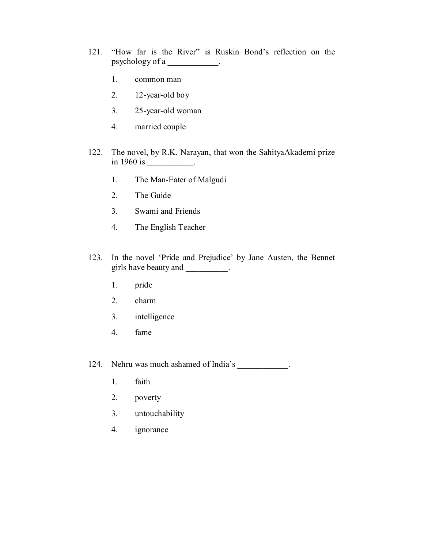- 121. "How far is the River" is Ruskin Bond's reflection on the psychology of a **\_\_\_\_\_\_\_\_\_\_\_\_**.
	- 1. common man
	- 2. 12-year-old boy
	- 3. 25-year-old woman
	- 4. married couple
- 122. The novel, by R.K. Narayan, that won the SahityaAkademi prize in 1960 is **\_\_\_\_\_\_\_\_\_\_\_**.
	- 1. The Man-Eater of Malgudi
	- 2. The Guide
	- 3. Swami and Friends
	- 4. The English Teacher
- 123. In the novel 'Pride and Prejudice' by Jane Austen, the Bennet girls have beauty and **.** 
	- 1. pride
	- 2. charm
	- 3. intelligence
	- 4. fame

124. Nehru was much ashamed of India's **\_\_\_\_\_\_\_\_\_\_\_\_**.

- 1. faith
- 2. poverty
- 3. untouchability
- 4. ignorance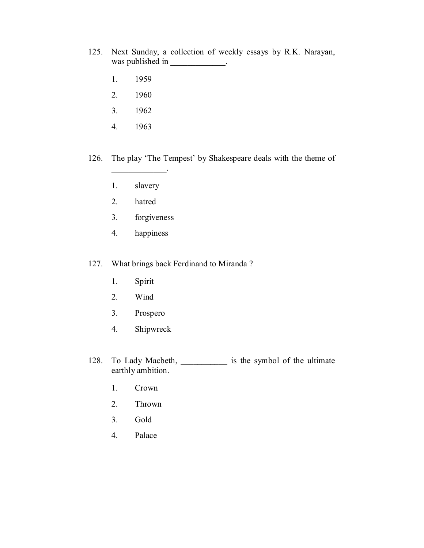- 125. Next Sunday, a collection of weekly essays by R.K. Narayan, was published in \_\_\_\_\_\_\_\_\_\_\_\_\_.
	- 1. 1959
	- 2. 1960
	- 3. 1962
	- 4. 1963
- 126. The play 'The Tempest' by Shakespeare deals with the theme of
	- 1. slavery

**\_\_\_\_\_\_\_\_\_\_\_\_\_**.

- 2. hatred
- 3. forgiveness
- 4. happiness

127. What brings back Ferdinand to Miranda ?

- 1. Spirit
- 2. Wind
- 3. Prospero
- 4. Shipwreck
- 128. To Lady Macbeth, **\_\_\_\_\_\_\_\_\_\_\_** is the symbol of the ultimate earthly ambition.
	- 1. Crown
	- 2. Thrown
	- 3. Gold
	- 4. Palace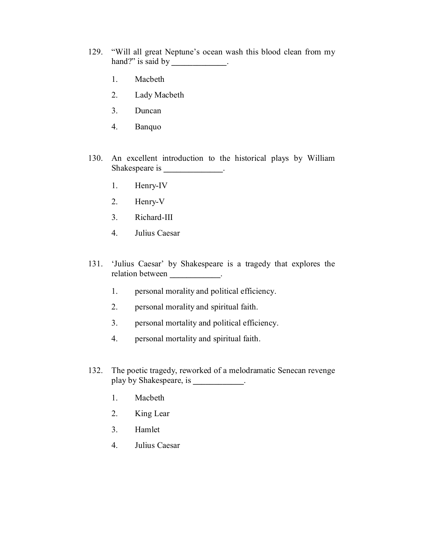- 129. "Will all great Neptune's ocean wash this blood clean from my hand?" is said by **\_\_\_\_\_\_\_\_\_\_\_\_\_**.
	- 1. Macbeth
	- 2. Lady Macbeth
	- 3. Duncan
	- 4. Banquo
- 130. An excellent introduction to the historical plays by William Shakespeare is **\_\_\_\_\_\_\_\_\_\_\_\_\_\_**.
	- 1. Henry-IV
	- 2. Henry-V
	- 3. Richard-III
	- 4. Julius Caesar
- 131. 'Julius Caesar' by Shakespeare is a tragedy that explores the relation between **\_\_\_\_\_\_\_\_\_\_\_\_**.
	- 1. personal morality and political efficiency.
	- 2. personal morality and spiritual faith.
	- 3. personal mortality and political efficiency.
	- 4. personal mortality and spiritual faith.
- 132. The poetic tragedy, reworked of a melodramatic Senecan revenge play by Shakespeare, is **\_\_\_\_\_\_\_\_\_\_\_\_**.
	- 1. Macbeth
	- 2. King Lear
	- 3. Hamlet
	- 4. Julius Caesar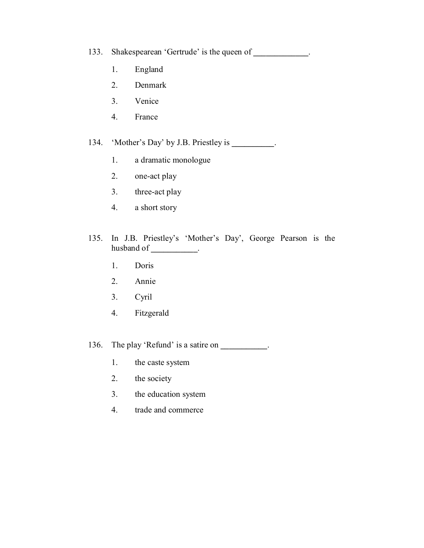133. Shakespearean 'Gertrude' is the queen of **\_\_\_\_\_\_\_\_\_\_\_\_\_**.

- 1. England
- 2. Denmark
- 3. Venice
- 4. France

134. 'Mother's Day' by J.B. Priestley is **\_\_\_\_\_\_\_\_\_\_**.

- 1. a dramatic monologue
- 2. one-act play
- 3. three-act play
- 4. a short story
- 135. In J.B. Priestley's 'Mother's Day', George Pearson is the husband of **\_\_\_\_\_\_\_\_\_\_\_**.
	- 1. Doris
	- 2. Annie
	- 3. Cyril
	- 4. Fitzgerald

136. The play 'Refund' is a satire on **\_\_\_\_\_\_\_\_\_\_\_**.

- 1. the caste system
- 2. the society
- 3. the education system
- 4. trade and commerce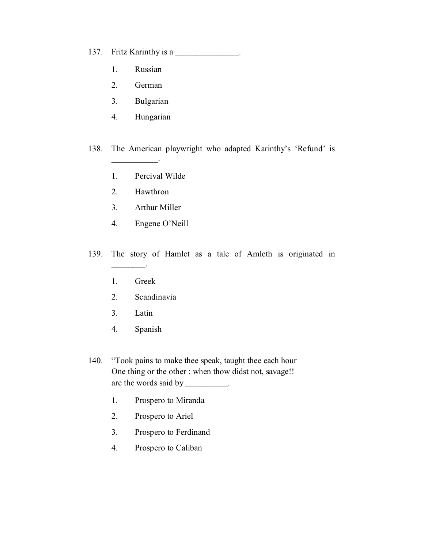137. Fritz Karinthy is a **\_\_\_\_\_\_\_\_\_\_\_\_\_\_\_**.

- 1. Russian
- 2. German
- 3. Bulgarian
- 4. Hungarian
- 138. The American playwright who adapted Karinthy's 'Refund' is
	- 1. Percival Wilde
	- 2. Hawthron

**\_\_\_\_\_\_\_\_\_\_\_**.

- 3. Arthur Miller
- 4. Engene O'Neill
- 139. The story of Hamlet as a tale of Amleth is originated in
	- 1. Greek

**\_\_\_\_\_\_\_\_**.

- 2. Scandinavia
- 3. Latin
- 4. Spanish
- 140. "Took pains to make thee speak, taught thee each hour One thing or the other : when thow didst not, savage!! are the words said by **\_\_\_\_\_\_\_\_\_\_**.
	- 1. Prospero to Miranda
	- 2. Prospero to Ariel
	- 3. Prospero to Ferdinand
	- 4. Prospero to Caliban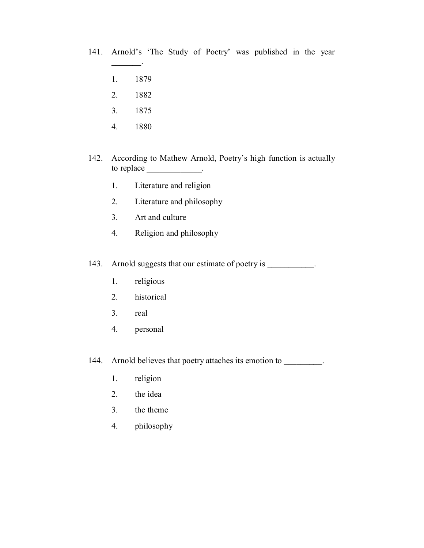- 141. Arnold's 'The Study of Poetry' was published in the year
	- 1. 1879

**\_\_\_\_\_\_\_**.

- 2. 1882
- 3. 1875
- 4. 1880
- 142. According to Mathew Arnold, Poetry's high function is actually to replace **\_\_\_\_\_\_\_\_\_\_\_\_\_**.
	- 1. Literature and religion
	- 2. Literature and philosophy
	- 3. Art and culture
	- 4. Religion and philosophy

143. Arnold suggests that our estimate of poetry is **\_\_\_\_\_\_\_\_\_\_\_**.

- 1. religious
- 2. historical
- 3. real
- 4. personal
- 144. Arnold believes that poetry attaches its emotion to **\_\_\_\_\_\_\_\_\_**.
	- 1. religion
	- 2. the idea
	- 3. the theme
	- 4. philosophy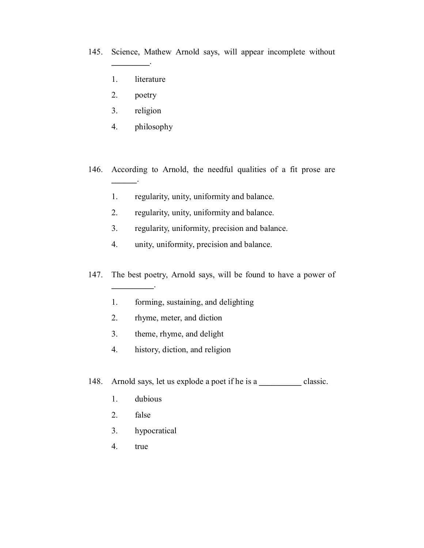145. Science, Mathew Arnold says, will appear incomplete without

- 1. literature
- 2. poetry

**\_\_\_\_\_\_\_\_\_**.

- 3. religion
- 4. philosophy
- 146. According to Arnold, the needful qualities of a fit prose are **\_\_\_\_\_\_**.
	- 1. regularity, unity, uniformity and balance.
	- 2. regularity, unity, uniformity and balance.
	- 3. regularity, uniformity, precision and balance.
	- 4. unity, uniformity, precision and balance.
- 147. The best poetry, Arnold says, will be found to have a power of
	- 1. forming, sustaining, and delighting
	- 2. rhyme, meter, and diction
	- 3. theme, rhyme, and delight
	- 4. history, diction, and religion

148. Arnold says, let us explode a poet if he is a **\_\_\_\_\_\_\_\_\_\_** classic.

1. dubious

**\_\_\_\_\_\_\_\_\_\_**.

- 2. false
- 3. hypocratical
- 4. true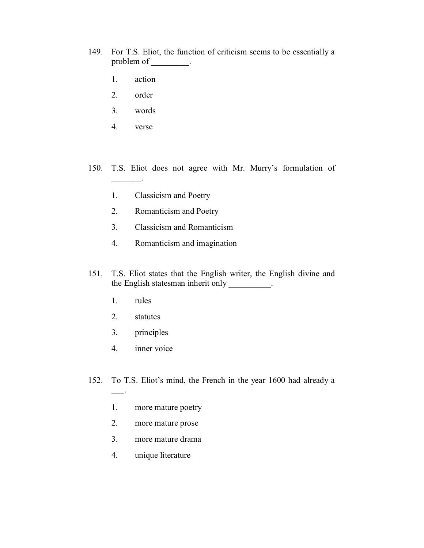- 149. For T.S. Eliot, the function of criticism seems to be essentially a problem of **\_\_\_\_\_\_\_\_\_**.
	- 1. action
	- 2. order
	- 3. words
	- 4. verse

**\_\_\_\_\_\_\_**.

- 150. T.S. Eliot does not agree with Mr. Murry's formulation of
	- 1. Classicism and Poetry
	- 2. Romanticism and Poetry
	- 3. Classicism and Romanticism
	- 4. Romanticism and imagination
- 151. T.S. Eliot states that the English writer, the English divine and the English statesman inherit only **\_\_\_\_\_\_\_\_\_\_**.
	- 1. rules

**\_\_\_**.

- 2. statutes
- 3. principles
- 4. inner voice
- 152. To T.S. Eliot's mind, the French in the year 1600 had already a
	- 1. more mature poetry
	- 2. more mature prose
	- 3. more mature drama
	- 4. unique literature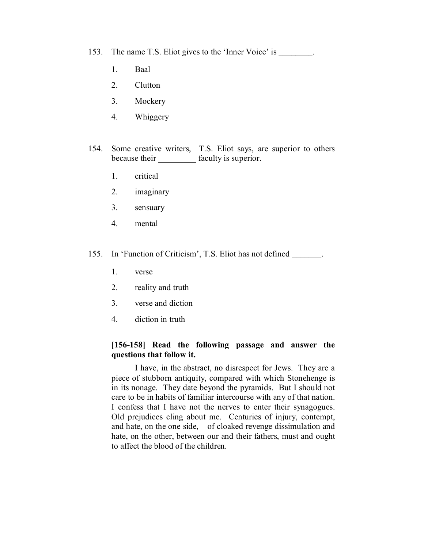- 153. The name T.S. Eliot gives to the 'Inner Voice' is **\_\_\_\_\_\_\_\_**.
	- 1. Baal
	- 2. Clutton
	- 3. Mockery
	- 4. Whiggery
- 154. Some creative writers, T.S. Eliot says, are superior to others because their **\_\_\_\_\_\_\_\_\_** faculty is superior.
	- 1. critical
	- 2. imaginary
	- 3. sensuary
	- 4. mental
- 155. In 'Function of Criticism', T.S. Eliot has not defined **\_\_\_\_\_\_\_**.
	- 1. verse
	- 2. reality and truth
	- 3. verse and diction
	- 4. diction in truth

#### **[156-158] Read the following passage and answer the questions that follow it.**

I have, in the abstract, no disrespect for Jews. They are a piece of stubborn antiquity, compared with which Stonehenge is in its nonage. They date beyond the pyramids. But I should not care to be in habits of familiar intercourse with any of that nation. I confess that I have not the nerves to enter their synagogues. Old prejudices cling about me. Centuries of injury, contempt, and hate, on the one side, – of cloaked revenge dissimulation and hate, on the other, between our and their fathers, must and ought to affect the blood of the children.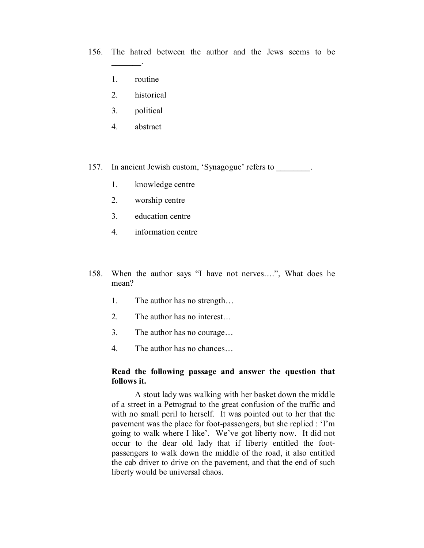156. The hatred between the author and the Jews seems to be

1. routine

**\_\_\_\_\_\_\_**.

- 2. historical
- 3. political
- 4. abstract
- 157. In ancient Jewish custom, 'Synagogue' refers to **\_\_\_\_\_\_\_\_**.
	- 1. knowledge centre
	- 2. worship centre
	- 3. education centre
	- 4. information centre
- 158. When the author says "I have not nerves….", What does he mean?
	- 1. The author has no strength…
	- 2. The author has no interest…
	- 3. The author has no courage…
	- 4. The author has no chances…

#### **Read the following passage and answer the question that follows it.**

A stout lady was walking with her basket down the middle of a street in a Petrograd to the great confusion of the traffic and with no small peril to herself. It was pointed out to her that the pavement was the place for foot-passengers, but she replied : 'I'm going to walk where I like'. We've got liberty now. It did not occur to the dear old lady that if liberty entitled the footpassengers to walk down the middle of the road, it also entitled the cab driver to drive on the pavement, and that the end of such liberty would be universal chaos.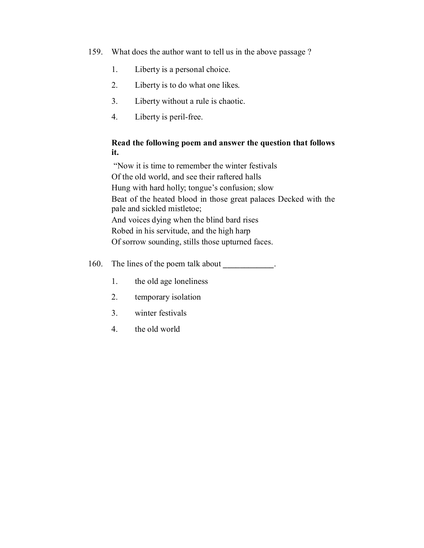- 159. What does the author want to tell us in the above passage ?
	- 1. Liberty is a personal choice.
	- 2. Liberty is to do what one likes.
	- 3. Liberty without a rule is chaotic.
	- 4. Liberty is peril-free.

## **Read the following poem and answer the question that follows it.**

 "Now it is time to remember the winter festivals Of the old world, and see their raftered halls Hung with hard holly; tongue's confusion; slow Beat of the heated blood in those great palaces Decked with the pale and sickled mistletoe; And voices dying when the blind bard rises Robed in his servitude, and the high harp Of sorrow sounding, stills those upturned faces.

160. The lines of the poem talk about **\_\_\_\_\_\_\_\_\_\_\_\_**.

- 1. the old age loneliness
- 2. temporary isolation
- 3. winter festivals
- 4. the old world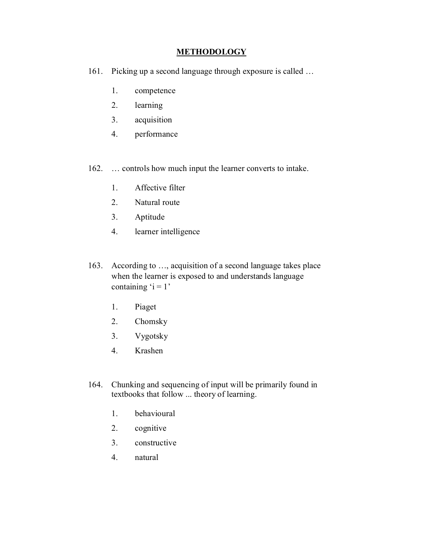### **METHODOLOGY**

- 161. Picking up a second language through exposure is called …
	- 1. competence
	- 2. learning
	- 3. acquisition
	- 4. performance
- 162. … controls how much input the learner converts to intake.
	- 1. Affective filter
	- 2. Natural route
	- 3. Aptitude
	- 4. learner intelligence
- 163. According to …, acquisition of a second language takes place when the learner is exposed to and understands language containing  $i = 1$ '
	- 1. Piaget
	- 2. Chomsky
	- 3. Vygotsky
	- 4. Krashen
- 164. Chunking and sequencing of input will be primarily found in textbooks that follow ... theory of learning.
	- 1. behavioural
	- 2. cognitive
	- 3. constructive
	- 4. natural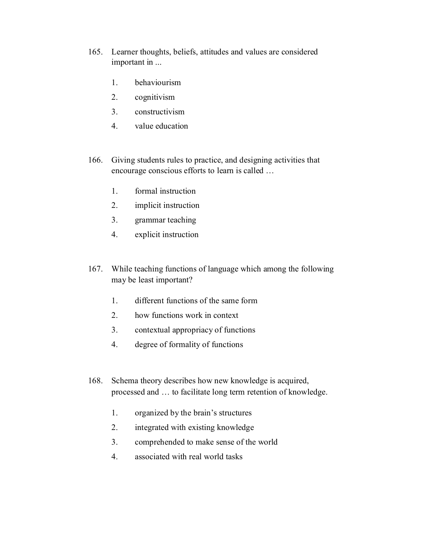- 165. Learner thoughts, beliefs, attitudes and values are considered important in ...
	- 1. behaviourism
	- 2. cognitivism
	- 3. constructivism
	- 4. value education
- 166. Giving students rules to practice, and designing activities that encourage conscious efforts to learn is called …
	- 1. formal instruction
	- 2. implicit instruction
	- 3. grammar teaching
	- 4. explicit instruction
- 167. While teaching functions of language which among the following may be least important?
	- 1. different functions of the same form
	- 2. how functions work in context
	- 3. contextual appropriacy of functions
	- 4. degree of formality of functions
- 168. Schema theory describes how new knowledge is acquired, processed and … to facilitate long term retention of knowledge.
	- 1. organized by the brain's structures
	- 2. integrated with existing knowledge
	- 3. comprehended to make sense of the world
	- 4. associated with real world tasks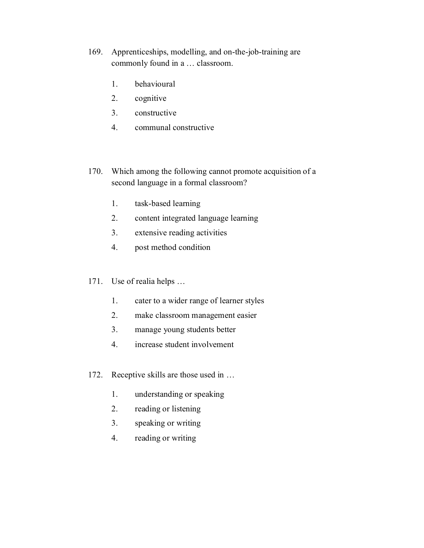- 169. Apprenticeships, modelling, and on-the-job-training are commonly found in a … classroom.
	- 1. behavioural
	- 2. cognitive
	- 3. constructive
	- 4. communal constructive
- 170. Which among the following cannot promote acquisition of a second language in a formal classroom?
	- 1. task-based learning
	- 2. content integrated language learning
	- 3. extensive reading activities
	- 4. post method condition
- 171. Use of realia helps …
	- 1. cater to a wider range of learner styles
	- 2. make classroom management easier
	- 3. manage young students better
	- 4. increase student involvement
- 172. Receptive skills are those used in …
	- 1. understanding or speaking
	- 2. reading or listening
	- 3. speaking or writing
	- 4. reading or writing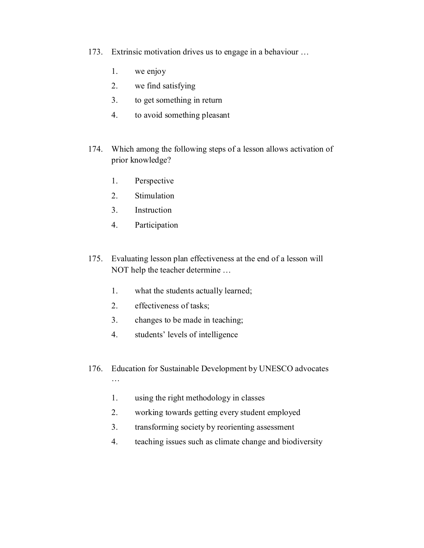- 173. Extrinsic motivation drives us to engage in a behaviour …
	- 1. we enjoy
	- 2. we find satisfying
	- 3. to get something in return
	- 4. to avoid something pleasant
- 174. Which among the following steps of a lesson allows activation of prior knowledge?
	- 1. Perspective
	- 2. Stimulation
	- 3. Instruction
	- 4. Participation
- 175. Evaluating lesson plan effectiveness at the end of a lesson will NOT help the teacher determine …
	- 1. what the students actually learned;
	- 2. effectiveness of tasks;
	- 3. changes to be made in teaching;
	- 4. students' levels of intelligence
- 176. Education for Sustainable Development by UNESCO advocates …
	- 1. using the right methodology in classes
	- 2. working towards getting every student employed
	- 3. transforming society by reorienting assessment
	- 4. teaching issues such as climate change and biodiversity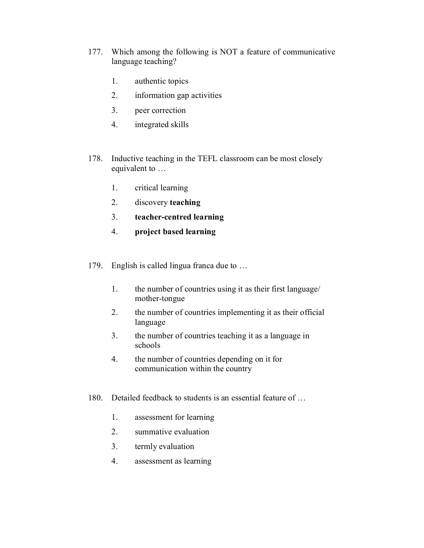- 177. Which among the following is NOT a feature of communicative language teaching?
	- 1. authentic topics
	- 2. information gap activities
	- 3. peer correction
	- 4. integrated skills
- 178. Inductive teaching in the TEFL classroom can be most closely equivalent to …
	- 1. critical learning
	- 2. discovery **teaching**
	- 3. **teacher-centred learning**
	- 4. **project based learning**
- 179. English is called lingua franca due to …
	- 1. the number of countries using it as their first language/ mother-tongue
	- 2. the number of countries implementing it as their official language
	- 3. the number of countries teaching it as a language in schools
	- 4. the number of countries depending on it for communication within the country
- 180. Detailed feedback to students is an essential feature of …
	- 1. assessment for learning
	- 2. summative evaluation
	- 3. termly evaluation
	- 4. assessment as learning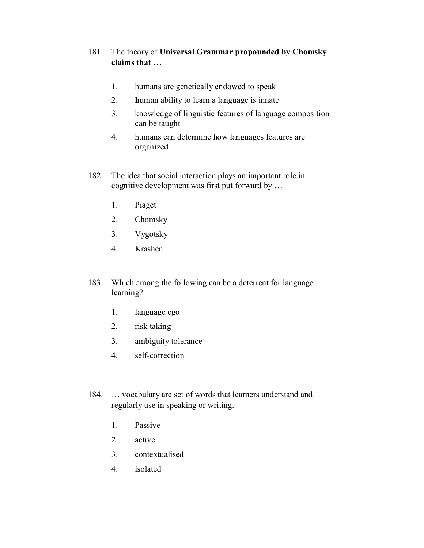## 181. The theory of **Universal Grammar propounded by Chomsky claims that …**

- 1. humans are genetically endowed to speak
- 2. **h**uman ability to learn a language is innate
- 3. knowledge of linguistic features of language composition can be taught
- 4. humans can determine how languages features are organized
- 182. The idea that social interaction plays an important role in cognitive development was first put forward by …
	- 1. Piaget
	- 2. Chomsky
	- 3. Vygotsky
	- 4. Krashen
- 183. Which among the following can be a deterrent for language learning?
	- 1. language ego
	- 2. risk taking
	- 3. ambiguity tolerance
	- 4. self-correction
- 184. … vocabulary are set of words that learners understand and regularly use in speaking or writing.
	- 1. Passive
	- 2. active
	- 3. contextualised
	- 4. isolated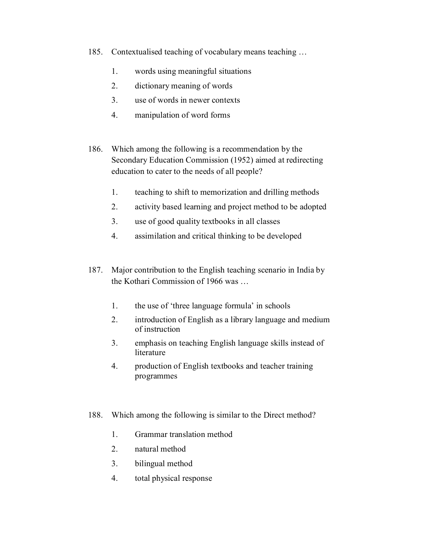- 185. Contextualised teaching of vocabulary means teaching …
	- 1. words using meaningful situations
	- 2. dictionary meaning of words
	- 3. use of words in newer contexts
	- 4. manipulation of word forms
- 186. Which among the following is a recommendation by the Secondary Education Commission (1952) aimed at redirecting education to cater to the needs of all people?
	- 1. teaching to shift to memorization and drilling methods
	- 2. activity based learning and project method to be adopted
	- 3. use of good quality textbooks in all classes
	- 4. assimilation and critical thinking to be developed
- 187. Major contribution to the English teaching scenario in India by the Kothari Commission of 1966 was …
	- 1. the use of 'three language formula' in schools
	- 2. introduction of English as a library language and medium of instruction
	- 3. emphasis on teaching English language skills instead of literature
	- 4. production of English textbooks and teacher training programmes
- 188. Which among the following is similar to the Direct method?
	- 1. Grammar translation method
	- 2. natural method
	- 3. bilingual method
	- 4. total physical response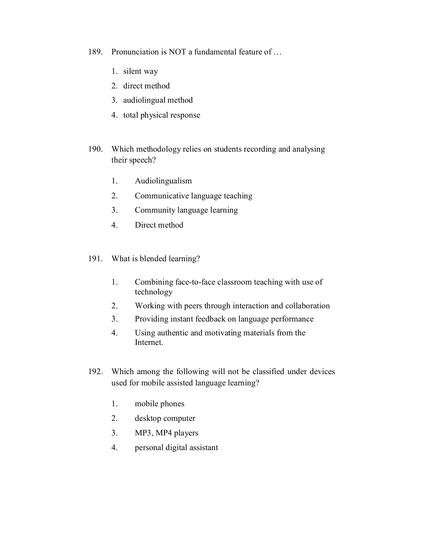- 189. Pronunciation is NOT a fundamental feature of …
	- 1. silent way
	- 2. direct method
	- 3. audiolingual method
	- 4. total physical response
- 190. Which methodology relies on students recording and analysing their speech?
	- 1. Audiolingualism
	- 2. Communicative language teaching
	- 3. Community language learning
	- 4. Direct method
- 191. What is blended learning?
	- 1. Combining face-to-face classroom teaching with use of technology
	- 2. Working with peers through interaction and collaboration
	- 3. Providing instant feedback on language performance
	- 4. Using authentic and motivating materials from the Internet.
- 192. Which among the following will not be classified under devices used for mobile assisted language learning?
	- 1. mobile phones
	- 2. desktop computer
	- 3. MP3, MP4 players
	- 4. personal digital assistant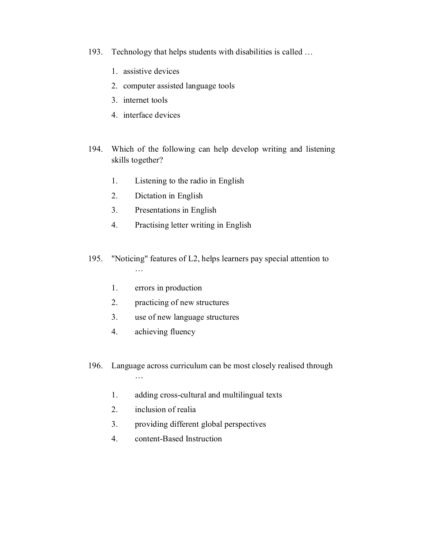- 193. Technology that helps students with disabilities is called …
	- 1. assistive devices
	- 2. computer assisted language tools
	- 3. internet tools
	- 4. interface devices
- 194. Which of the following can help develop writing and listening skills together?
	- 1. Listening to the radio in English
	- 2. Dictation in English
	- 3. Presentations in English
	- 4. Practising letter writing in English
- 195. "Noticing" features of L2, helps learners pay special attention to …
	- 1. errors in production
	- 2. practicing of new structures
	- 3. use of new language structures
	- 4. achieving fluency
- 196. Language across curriculum can be most closely realised through …
	- 1. adding cross-cultural and multilingual texts
	- 2. inclusion of realia
	- 3. providing different global perspectives
	- 4. content-Based Instruction